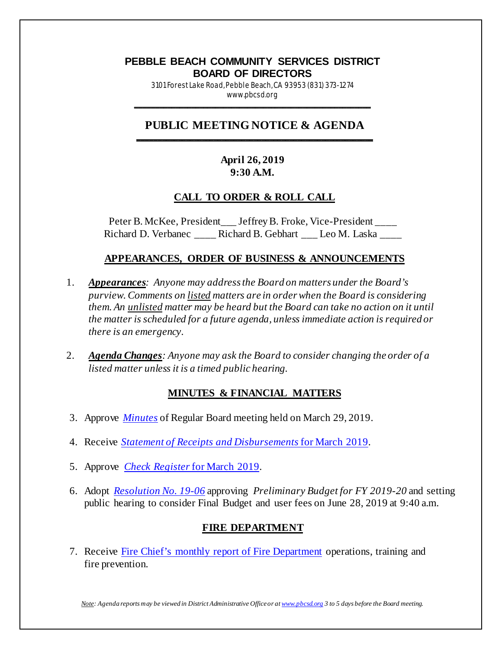#### **PEBBLE BEACH COMMUNITY SERVICES DISTRICT BOARD OF DIRECTORS** 3101 Forest Lake Road, Pebble Beach, CA 93953 (831) 373-1274

www.pbcsd.org \_\_\_\_\_\_\_\_\_\_\_\_\_\_\_\_\_\_\_\_\_\_\_\_\_\_\_\_\_\_\_\_\_\_\_\_\_\_\_\_\_\_\_\_\_\_\_\_\_\_\_\_\_\_\_\_\_\_\_

#### **PUBLIC MEETING NOTICE & AGENDA \_\_\_\_\_\_\_\_\_\_\_\_\_\_\_\_\_\_\_\_\_\_\_\_\_\_\_\_\_\_\_\_\_\_\_\_\_\_\_\_\_\_\_\_\_\_\_\_\_\_\_\_\_\_\_\_\_\_\_**

## **April 26, 2019 9:30 A.M.**

## **CALL TO ORDER & ROLL CALL**

Peter B. McKee, President \_\_\_ Jeffrey B. Froke, Vice-President \_\_\_\_ Richard D. Verbanec \_\_\_\_ Richard B. Gebhart \_\_\_ Leo M. Laska \_\_\_\_

## **APPEARANCES, ORDER OF BUSINESS & ANNOUNCEMENTS**

- 1. *Appearances: Anyone may address the Board on matters under the Board's purview. Comments on listed matters are in order when the Board is considering them. An unlisted matter may be heard but the Board can take no action on it until the matter is scheduled for a future agenda, unless immediate action is required or there is an emergency.*
- 2. *Agenda Changes: Anyone may ask the Board to consider changing the order of a listed matter unless it is a timed public hearing.*

### **MINUTES & FINANCIAL MATTERS**

- 3. Approve *[Minutes](http://pbcsd.org/wp-content/uploads/pbcsd/meetings/board/2019/2019-04-26/03-19-0329-PBCSD-Draft-Minutes.pdf)* of Regular Board meeting held on March 29, 2019.
- 4. Receive *[Statement of Receipts and Disbursements](http://pbcsd.org/wp-content/uploads/pbcsd/meetings/board/2019/2019-04-26/04-Statement-of-Receipts-Disbursements-for-March-2019.pdf)* for March 2019.
- 5. Approve *[Check Register](http://pbcsd.org/wp-content/uploads/pbcsd/meetings/board/2019/2019-04-26/04-Statement-of-Receipts-Disbursements-for-March-2019.pdf)* for March 2019.
- 6. Adopt *[Resolution No. 19-06](http://pbcsd.org/wp-content/uploads/pbcsd/meetings/board/2019/2019-04-26/06-Resolution-19-06-Approving-Preliminary-Budget-for-FY-2019-20-Setting-Public-Hearing.pdf)* approving *Preliminary Budget for FY 2019-20* and setting public hearing to consider Final Budget and user fees on June 28, 2019 at 9:40 a.m.

### **FIRE DEPARTMENT**

7. Receive [Fire Chief's monthly report of Fire Department](http://pbcsd.org/wp-content/uploads/pbcsd/meetings/board/2019/2019-04-26/07-Fire-Chiefs-Monthly-Report-for-Fire-Department-March-15-to-April-14.pdf) operations, training and fire prevention.

*Note: Agenda reports may be viewed in District Administrative Office or a[t www.pbcsd.org](http://www.pbcsd.org/) 3 to 5 days before the Board meeting.*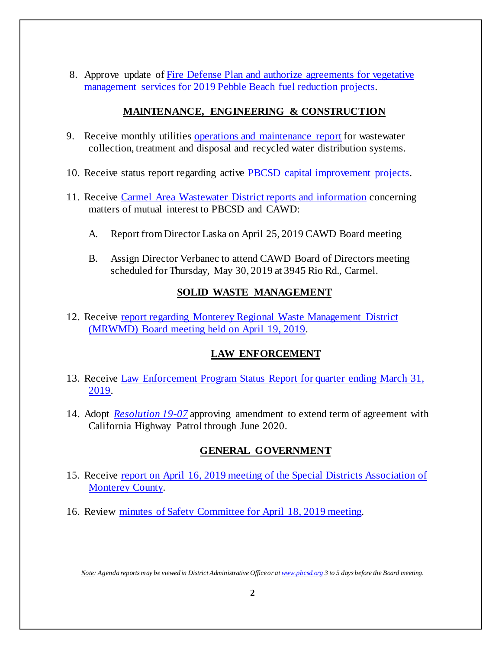8. Approve update of [Fire Defense Plan and authorize agreements for vegetative](http://pbcsd.org/wp-content/uploads/pbcsd/meetings/board/2019/2019-04-26/08-Fire-Defense-Plan-Fuel-Reduction-Projects-Budget-Increase-Agreements-Authorization.pdf)  management services for 2019 [Pebble Beach fuel reduction projects.](http://pbcsd.org/wp-content/uploads/pbcsd/meetings/board/2019/2019-04-26/08-Fire-Defense-Plan-Fuel-Reduction-Projects-Budget-Increase-Agreements-Authorization.pdf)

## **MAINTENANCE, ENGINEERING & CONSTRUCTION**

- 9. Receive monthly utilities [operations and maintenance report](http://pbcsd.org/wp-content/uploads/pbcsd/meetings/board/2019/2019-04-26/09-Operations-Maintenance-Board-Report-for-April-2019.pdf) for wastewater collection, treatment and disposal and recycled water distribution systems.
- 10. Receive status report regarding active **PBCSD** capital [improvement projects.](http://pbcsd.org/wp-content/uploads/pbcsd/meetings/board/2019/2019-04-26/10-Capital-Improvement-Projects-Report.pdf)
- 11. Receive [Carmel Area Wastewater District reports and information](http://pbcsd.org/wp-content/uploads/pbcsd/meetings/board/2019/2019-04-26/11-CAWD-Board-Meeting-Agenda-Reports.pdf) concerning matters of mutual interest to PBCSD and CAWD:
	- A. Report from Director Laska on April 25, 2019 CAWD Board meeting
	- B. Assign Director Verbanec to attend CAWD Board of Directors meeting scheduled for Thursday, May 30, 2019 at 3945 Rio Rd., Carmel.

# **SOLID WASTE MANAGEMENT**

12. Receive [report regarding Monterey Regional Waste Management District](http://pbcsd.org/wp-content/uploads/pbcsd/meetings/board/2019/2019-04-26/12-MRWMD-Board-Meeting-Agenda-GM-Report.pdf)  [\(MRWMD\) Board meeting held on April](http://pbcsd.org/wp-content/uploads/pbcsd/meetings/board/2019/2019-04-26/12-MRWMD-Board-Meeting-Agenda-GM-Report.pdf) 19, 2019.

# **LAW ENFORCEMENT**

- 13. Receive [Law Enforcement Program Status Report for quarter ending March](http://pbcsd.org/wp-content/uploads/pbcsd/meetings/board/2019/2019-04-26/13-Law-Enforcement-Program-Status-Report-for-Quarter-Ending-March-31-2019.pdf) 31, [2019.](http://pbcsd.org/wp-content/uploads/pbcsd/meetings/board/2019/2019-04-26/13-Law-Enforcement-Program-Status-Report-for-Quarter-Ending-March-31-2019.pdf)
- 14. Adopt *[Resolution 19-07](http://pbcsd.org/wp-content/uploads/pbcsd/meetings/board/2019/2019-04-26/14-Resolution-19-07-CHP-Agreement-Extension-through-June-2020.pdf)* approving amendment to extend term of agreement with California Highway Patrol through June 2020.

# **GENERAL GOVERNMENT**

- 15. Receive [report on April 16, 2019 meeting of the Special Districts Association of](http://pbcsd.org/wp-content/uploads/pbcsd/meetings/board/2019/2019-04-26/15-Special-Districts-Association-Monterey-County-Meeting-on-April-16-2019.pdf)  [Monterey County.](http://pbcsd.org/wp-content/uploads/pbcsd/meetings/board/2019/2019-04-26/15-Special-Districts-Association-Monterey-County-Meeting-on-April-16-2019.pdf)
- 16. Review [minutes of Safety Committee for April 18, 2019 meeting.](http://pbcsd.org/wp-content/uploads/pbcsd/meetings/board/2019/2019-04-26/16-Safety-Committee-Meeting-Minutes-for-04-18-2019.pdf)

*Note: Agenda reports may be viewed in District Administrative Office or a[t www.pbcsd.org](http://www.pbcsd.org/) 3 to 5 days before the Board meeting.*